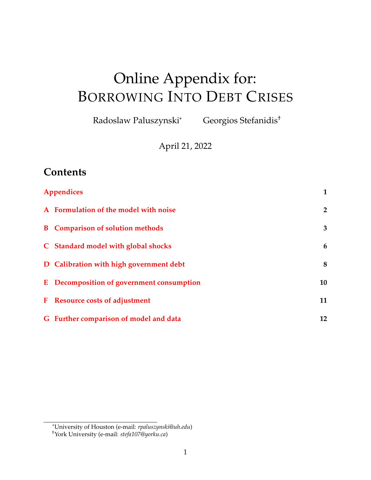# <span id="page-0-0"></span>Online Appendix for: BORROWING INTO DEBT CRISES

Radoslaw Paluszynski\* Georgios Stefanidis†

April 21, 2022

# **Contents**

|           | Appendices                                | 1              |
|-----------|-------------------------------------------|----------------|
|           | A Formulation of the model with noise     | $\overline{2}$ |
|           | <b>B</b> Comparison of solution methods   | 3              |
|           | C Standard model with global shocks       | 6              |
|           | D Calibration with high government debt   | 8              |
|           | E Decomposition of government consumption | 10             |
| ${\bf F}$ | <b>Resource costs of adjustment</b>       | 11             |
|           | G Further comparison of model and data    | 12             |

<sup>\*</sup>University of Houston (e-mail: *rpaluszynski@uh.edu*)

<sup>†</sup>York University (e-mail: *stefa107@yorku.ca*)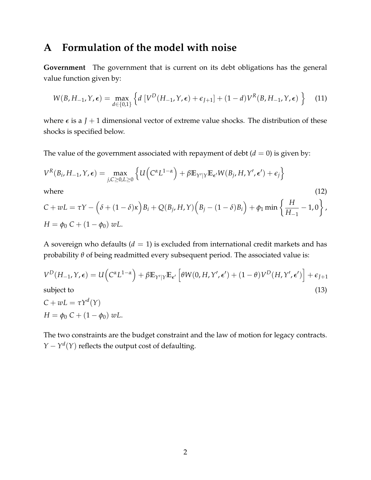#### <span id="page-1-0"></span>**A Formulation of the model with noise**

**Government** The government that is current on its debt obligations has the general value function given by:

$$
W(B, H_{-1}, Y, \epsilon) = \max_{d \in \{0, 1\}} \left\{ d \left[ V^D(H_{-1}, Y, \epsilon) + \epsilon_{J+1} \right] + (1 - d) V^R(B, H_{-1}, Y, \epsilon) \right\} \tag{11}
$$

where  $\epsilon$  is a *J* + 1 dimensional vector of extreme value shocks. The distribution of these shocks is specified below.

The value of the government associated with repayment of debt  $(d = 0)$  is given by:

$$
V^{R}(B_{i}, H_{-1}, Y, \epsilon) = \max_{j, C \ge 0, L \ge 0} \left\{ U\left(C^{\alpha} L^{1-\alpha}\right) + \beta \mathbb{E}_{Y'|Y} \mathbb{E}_{\epsilon'} W(B_{j}, H, Y', \epsilon') + \epsilon_{j} \right\}
$$

where  $(12)$ 

$$
C + wL = \tau Y - (\delta + (1 - \delta)\kappa)B_i + Q(B_j, H, Y)(B_j - (1 - \delta)B_i) + \phi_1 \min \left\{ \frac{H}{H_{-1}} - 1, 0 \right\},\newline H = \phi_0 C + (1 - \phi_0) wL.
$$

A sovereign who defaults  $(d = 1)$  is excluded from international credit markets and has probability *θ* of being readmitted every subsequent period. The associated value is:

$$
V^{D}(H_{-1}, Y, \epsilon) = U\left(C^{\alpha}L^{1-\alpha}\right) + \beta \mathbb{E}_{Y'|Y}\mathbb{E}_{\epsilon'}\left[\theta W(0, H, Y', \epsilon') + (1-\theta)V^{D}(H, Y', \epsilon')\right] + \epsilon_{J+1}
$$
  
subject to (13)

$$
C + wL = \tau Y^{d}(Y)
$$
  
H =  $\phi_0 C + (1 - \phi_0) wL$ .

The two constraints are the budget constraint and the law of motion for legacy contracts. *Y* −  $Y^d(Y)$  reflects the output cost of defaulting.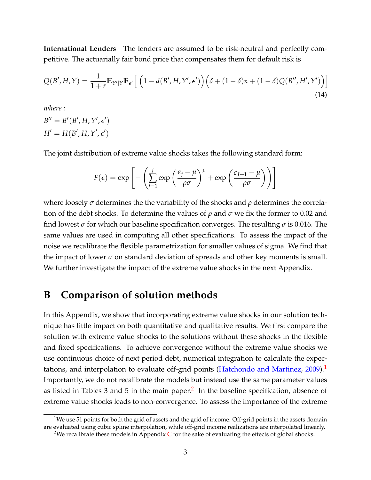**International Lenders** The lenders are assumed to be risk-neutral and perfectly competitive. The actuarially fair bond price that compensates them for default risk is

$$
Q(B', H, Y) = \frac{1}{1+r} \mathbb{E}_{Y'|Y} \mathbb{E}_{\epsilon'} \left[ \left( 1 - d(B', H, Y', \epsilon') \right) \left( \delta + (1-\delta)\kappa + (1-\delta)Q(B'', H', Y') \right) \right]
$$
\n(14)

*where* :

 $B'' = B'(B', H, Y', \epsilon')$  $H' = H(B', H, Y', \epsilon')$ 

The joint distribution of extreme value shocks takes the following standard form:

$$
F(\epsilon) = \exp\left[-\left(\sum_{j=1}^{J} \exp\left(\frac{\epsilon_j - \mu}{\rho \sigma}\right)^{\rho} + \exp\left(\frac{\epsilon_{J+1} - \mu}{\rho \sigma}\right)\right)\right]
$$

where loosely *σ* determines the the variability of the shocks and *ρ* determines the correlation of the debt shocks. To determine the values of  $\rho$  and  $\sigma$  we fix the former to 0.02 and find lowest *σ* for which our baseline specification converges. The resulting *σ* is 0.016. The same values are used in computing all other specifications. To assess the impact of the noise we recalibrate the flexible parametrization for smaller values of sigma. We find that the impact of lower  $\sigma$  on standard deviation of spreads and other key moments is small. We further investigate the impact of the extreme value shocks in the next Appendix.

#### <span id="page-2-0"></span>**B Comparison of solution methods**

In this Appendix, we show that incorporating extreme value shocks in our solution technique has little impact on both quantitative and qualitative results. We first compare the solution with extreme value shocks to the solutions without these shocks in the flexible and fixed specifications. To achieve convergence without the extreme value shocks we use continuous choice of next period debt, numerical integration to calculate the expec-tations, and interpolation to evaluate off-grid points [\(Hatchondo and Martinez,](#page-14-0) [2009\)](#page-14-0).<sup>[1](#page-2-1)</sup> Importantly, we do not recalibrate the models but instead use the same parameter values as listed in Tables 3 and 5 in the main paper.<sup>[2](#page-2-2)</sup> In the baseline specification, absence of extreme value shocks leads to non-convergence. To assess the importance of the extreme

<span id="page-2-1"></span><sup>&</sup>lt;sup>1</sup>We use 51 points for both the grid of assets and the grid of income. Off-grid points in the assets domain are evaluated using cubic spline interpolation, while off-grid income realizations are interpolated linearly.

<span id="page-2-2"></span><sup>&</sup>lt;sup>2</sup>We recalibrate these models in Appendix  $\overline{C}$  $\overline{C}$  $\overline{C}$  for the sake of evaluating the effects of global shocks.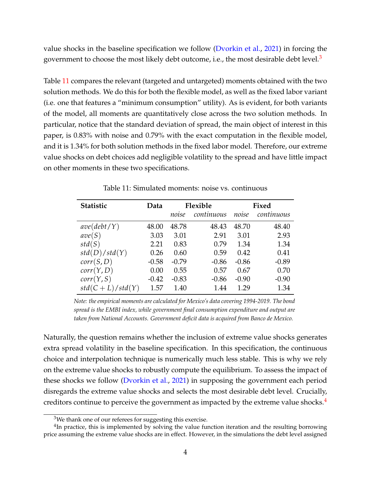value shocks in the baseline specification we follow [\(Dvorkin et al.,](#page-14-1) [2021\)](#page-14-1) in forcing the government to choose the most likely debt outcome, i.e., the most desirable debt level. $3$ 

Table [11](#page-3-1) compares the relevant (targeted and untargeted) moments obtained with the two solution methods. We do this for both the flexible model, as well as the fixed labor variant (i.e. one that features a "minimum consumption" utility). As is evident, for both variants of the model, all moments are quantitatively close across the two solution methods. In particular, notice that the standard deviation of spread, the main object of interest in this paper, is 0.83% with noise and 0.79% with the exact computation in the flexible model, and it is 1.34% for both solution methods in the fixed labor model. Therefore, our extreme value shocks on debt choices add negligible volatility to the spread and have little impact on other moments in these two specifications.

<span id="page-3-1"></span>

| <b>Statistic</b>  | Data    | Flexible |            | Fixed   |            |
|-------------------|---------|----------|------------|---------|------------|
|                   |         | noise    | continuous | noise   | continuous |
| ave(debt/Y)       | 48.00   | 48.78    | 48.43      | 48.70   | 48.40      |
| ave(S)            | 3.03    | 3.01     | 2.91       | 3.01    | 2.93       |
| std(S)            | 2.21    | 0.83     | 0.79       | 1.34    | 1.34       |
| std(D)/std(Y)     | 0.26    | 0.60     | 0.59       | 0.42    | 0.41       |
| corr(S, D)        | $-0.58$ | $-0.79$  | $-0.86$    | $-0.86$ | $-0.89$    |
| corr(Y, D)        | 0.00    | 0.55     | 0.57       | 0.67    | 0.70       |
| corr(Y, S)        | $-0.42$ | $-0.83$  | $-0.86$    | $-0.90$ | $-0.90$    |
| $std(C+L)/std(Y)$ | 1.57    | 1.40     | 1.44       | 1.29    | 1.34       |

Table 11: Simulated moments: noise vs. continuous

*Note: the empirical moments are calculated for Mexico's data covering 1994-2019. The bond spread is the EMBI index, while government final consumption expenditure and output are taken from National Accounts. Government deficit data is acquired from Banco de Mexico.*

Naturally, the question remains whether the inclusion of extreme value shocks generates extra spread volatility in the baseline specification. In this specification, the continuous choice and interpolation technique is numerically much less stable. This is why we rely on the extreme value shocks to robustly compute the equilibrium. To assess the impact of these shocks we follow [\(Dvorkin et al.,](#page-14-1) [2021\)](#page-14-1) in supposing the government each period disregards the extreme value shocks and selects the most desirable debt level. Crucially, creditors continue to perceive the government as impacted by the extreme value shocks. $4$ 

<span id="page-3-2"></span><span id="page-3-0"></span><sup>&</sup>lt;sup>3</sup>We thank one of our referees for suggesting this exercise.

<sup>&</sup>lt;sup>4</sup>In practice, this is implemented by solving the value function iteration and the resulting borrowing price assuming the extreme value shocks are in effect. However, in the simulations the debt level assigned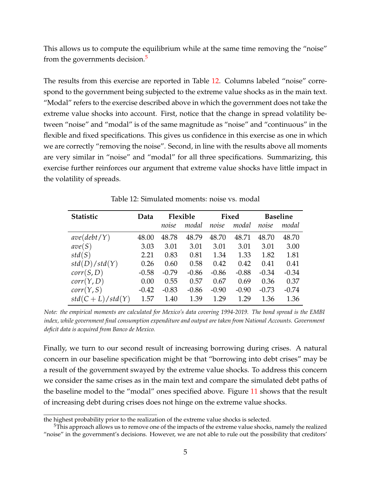This allows us to compute the equilibrium while at the same time removing the "noise" from the governments decision.<sup>[5](#page-4-0)</sup>

The results from this exercise are reported in Table [12.](#page-4-1) Columns labeled "noise" correspond to the government being subjected to the extreme value shocks as in the main text. "Modal" refers to the exercise described above in which the government does not take the extreme value shocks into account. First, notice that the change in spread volatility between "noise" and "modal" is of the same magnitude as "noise" and "continuous" in the flexible and fixed specifications. This gives us confidence in this exercise as one in which we are correctly "removing the noise". Second, in line with the results above all moments are very similar in "noise" and "modal" for all three specifications. Summarizing, this exercise further reinforces our argument that extreme value shocks have little impact in the volatility of spreads.

<span id="page-4-1"></span>

| <b>Statistic</b>  | Data    | Flexible |         | Fixed   |         | <b>Baseline</b> |         |
|-------------------|---------|----------|---------|---------|---------|-----------------|---------|
|                   |         | noise    | modal   | noise   | modal   | noise           | modal   |
| ave(debt/Y)       | 48.00   | 48.78    | 48.79   | 48.70   | 48.71   | 48.70           | 48.70   |
| ave(S)            | 3.03    | 3.01     | 3.01    | 3.01    | 3.01    | 3.01            | 3.00    |
| std(S)            | 2.21    | 0.83     | 0.81    | 1.34    | 1.33    | 1.82            | 1.81    |
| std(D)/std(Y)     | 0.26    | 0.60     | 0.58    | 0.42    | 0.42    | 0.41            | 0.41    |
| corr(S, D)        | $-0.58$ | $-0.79$  | $-0.86$ | $-0.86$ | $-0.88$ | $-0.34$         | $-0.34$ |
| corr(Y, D)        | 0.00    | 0.55     | 0.57    | 0.67    | 0.69    | 0.36            | 0.37    |
| corr(Y, S)        | $-0.42$ | $-0.83$  | $-0.86$ | $-0.90$ | $-0.90$ | $-0.73$         | $-0.74$ |
| $std(C+L)/std(Y)$ | 1.57    | 1.40     | 1.39    | 1.29    | 1.29    | 1.36            | 1.36    |

Table 12: Simulated moments: noise vs. modal

*Note: the empirical moments are calculated for Mexico's data covering 1994-2019. The bond spread is the EMBI index, while government final consumption expenditure and output are taken from National Accounts. Government deficit data is acquired from Banco de Mexico.*

Finally, we turn to our second result of increasing borrowing during crises. A natural concern in our baseline specification might be that "borrowing into debt crises" may be a result of the government swayed by the extreme value shocks. To address this concern we consider the same crises as in the main text and compare the simulated debt paths of the baseline model to the "modal" ones specified above. Figure [11](#page-5-1) shows that the result of increasing debt during crises does not hinge on the extreme value shocks.

the highest probability prior to the realization of the extreme value shocks is selected.

<span id="page-4-0"></span> $5$ This approach allows us to remove one of the impacts of the extreme value shocks, namely the realized "noise" in the government's decisions. However, we are not able to rule out the possibility that creditors'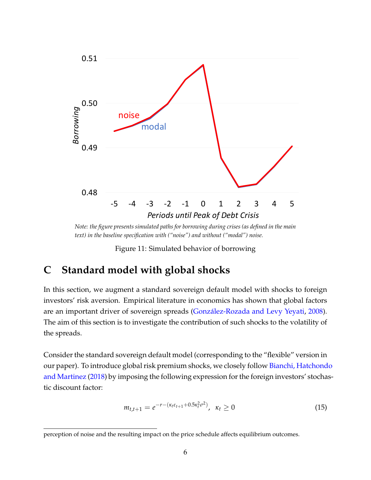<span id="page-5-1"></span>

*Note: the figure presents simulated paths for borrowing during crises (as defined in the main text) in the baseline specification with ("noise") and without ("modal") noise.*

Figure 11: Simulated behavior of borrowing

### <span id="page-5-0"></span>**C Standard model with global shocks**

In this section, we augment a standard sovereign default model with shocks to foreign investors' risk aversion. Empirical literature in economics has shown that global factors are an important driver of sovereign spreads [\(González-Rozada and Levy Yeyati,](#page-14-2) [2008\)](#page-14-2). The aim of this section is to investigate the contribution of such shocks to the volatility of the spreads.

Consider the standard sovereign default model (corresponding to the "flexible" version in our paper). To introduce global risk premium shocks, we closely follow [Bianchi, Hatchond](#page-14-3)o [and Martinez](#page-14-3) [\(2018\)](#page-14-3) by imposing the following expression for the foreign investors' stochastic discount factor:

<span id="page-5-2"></span>
$$
m_{t,t+1} = e^{-r - (\kappa_t \varepsilon_{t+1} + 0.5\kappa_t^2 \sigma^2)}, \ \kappa_t \ge 0
$$
\n(15)

perception of noise and the resulting impact on the price schedule affects equilibrium outcomes.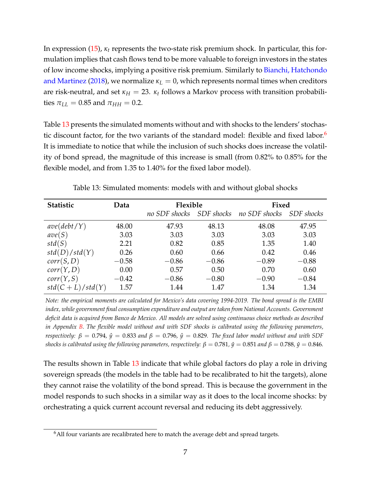In expression [\(15\)](#page-5-2), *κ<sup>t</sup>* represents the two-state risk premium shock. In particular, this formulation implies that cash flows tend to be more valuable to foreign investors in the states of low income shocks, implying a positive risk premium. Similarly to [Bianchi, Hatchondo](#page-14-3) [and Martinez](#page-14-3) [\(2018\)](#page-14-3), we normalize  $\kappa_L = 0$ , which represents normal times when creditors are risk-neutral, and set  $\kappa_H = 23$ .  $\kappa_t$  follows a Markov process with transition probabilities  $\pi_{LL} = 0.85$  and  $\pi_{HH} = 0.2$ .

Table [13](#page-6-0) presents the simulated moments without and with shocks to the lenders' stochas-tic discount factor, for the two variants of the standard model: flexible and fixed labor.<sup>[6](#page-6-1)</sup> It is immediate to notice that while the inclusion of such shocks does increase the volatility of bond spread, the magnitude of this increase is small (from 0.82% to 0.85% for the flexible model, and from 1.35 to 1.40% for the fixed labor model).

<span id="page-6-0"></span>

| <b>Statistic</b>  | Data    | Flexible      |                   | Fixed         |                   |
|-------------------|---------|---------------|-------------------|---------------|-------------------|
|                   |         | no SDF shocks | <i>SDF shocks</i> | no SDF shocks | <b>SDF</b> shocks |
| ave(debt/Y)       | 48.00   | 47.93         | 48.13             | 48.08         | 47.95             |
| ave(S)            | 3.03    | 3.03          | 3.03              | 3.03          | 3.03              |
| std(S)            | 2.21    | 0.82          | 0.85              | 1.35          | 1.40              |
| std(D)/std(Y)     | 0.26    | 0.60          | 0.66              | 0.42          | 0.46              |
| corr(S, D)        | $-0.58$ | $-0.86$       | $-0.86$           | $-0.89$       | $-0.88$           |
| corr(Y, D)        | 0.00    | 0.57          | 0.50              | 0.70          | 0.60              |
| corr(Y, S)        | $-0.42$ | $-0.86$       | $-0.80$           | $-0.90$       | $-0.84$           |
| $std(C+L)/std(Y)$ | 1.57    | 1.44          | 1.47              | 1.34          | 1.34              |

Table 13: Simulated moments: models with and without global shocks

*Note: the empirical moments are calculated for Mexico's data covering 1994-2019. The bond spread is the EMBI index, while government final consumption expenditure and output are taken from National Accounts. Government deficit data is acquired from Banco de Mexico. All models are solved using continuous choice methods as described in Appendix [B.](#page-2-0) The flexible model without and with SDF shocks is calibrated using the following parameters, respectively:*  $\beta = 0.794$ ,  $\hat{y} = 0.833$  and  $\beta = 0.796$ ,  $\hat{y} = 0.829$ . The fixed labor model without and with SDF *shocks is calibrated using the following parameters, respectively:*  $\beta = 0.781$ ,  $\hat{y} = 0.851$  and  $\beta = 0.788$ ,  $\hat{y} = 0.846$ .

The results shown in Table [13](#page-6-0) indicate that while global factors do play a role in driving sovereign spreads (the models in the table had to be recalibrated to hit the targets), alone they cannot raise the volatility of the bond spread. This is because the government in the model responds to such shocks in a similar way as it does to the local income shocks: by orchestrating a quick current account reversal and reducing its debt aggressively.

<span id="page-6-1"></span> $6$ All four variants are recalibrated here to match the average debt and spread targets.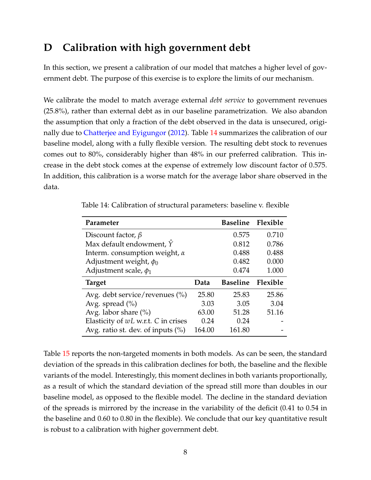## <span id="page-7-0"></span>**D Calibration with high government debt**

In this section, we present a calibration of our model that matches a higher level of government debt. The purpose of this exercise is to explore the limits of our mechanism.

We calibrate the model to match average external *debt service* to government revenues (25.8%), rather than external debt as in our baseline parametrization. We also abandon the assumption that only a fraction of the debt observed in the data is unsecured, originally due to [Chatterjee and Eyigungor](#page-14-4) [\(2012\)](#page-14-4). Table [14](#page-7-1) summarizes the calibration of our baseline model, along with a fully flexible version. The resulting debt stock to revenues comes out to 80%, considerably higher than 48% in our preferred calibration. This increase in the debt stock comes at the expense of extremely low discount factor of 0.575. In addition, this calibration is a worse match for the average labor share observed in the data.

| Parameter                            |        | Baseline Flexible |       |
|--------------------------------------|--------|-------------------|-------|
| Discount factor, $\beta$             |        | 0.575             | 0.710 |
| Max default endowment, $\hat{Y}$     |        | 0.812             | 0.786 |
| Interm. consumption weight, $\alpha$ |        | 0.488             | 0.488 |
| Adjustment weight, $\phi_0$          |        | 0.482             | 0.000 |
| Adjustment scale, $\phi_1$           |        | 0.474             | 1.000 |
| <b>Target</b>                        | Data   | Baseline Flexible |       |
| Avg. debt service/revenues $(\% )$   | 25.80  | 25.83             | 25.86 |
| Avg. spread $(\% )$                  | 3.03   | 3.05              | 3.04  |
| Avg. labor share $(\%)$              | 63.00  | 51.28             | 51.16 |
| Elasticity of wL w.r.t. C in crises  | 0.24   | 0.24              |       |
| Avg. ratio st. dev. of inputs $(\%)$ | 164.00 | 161.80            |       |

<span id="page-7-1"></span>Table 14: Calibration of structural parameters: baseline v. flexible

Table [15](#page-8-0) reports the non-targeted moments in both models. As can be seen, the standard deviation of the spreads in this calibration declines for both, the baseline and the flexible variants of the model. Interestingly, this moment declines in both variants proportionally, as a result of which the standard deviation of the spread still more than doubles in our baseline model, as opposed to the flexible model. The decline in the standard deviation of the spreads is mirrored by the increase in the variability of the deficit (0.41 to 0.54 in the baseline and 0.60 to 0.80 in the flexible). We conclude that our key quantitative result is robust to a calibration with higher government debt.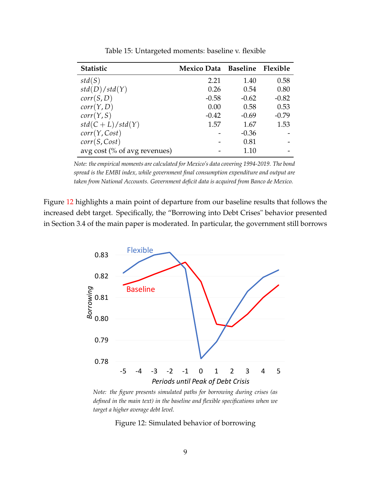<span id="page-8-0"></span>

| <b>Statistic</b>             | Mexico Data Baseline Flexible |         |         |
|------------------------------|-------------------------------|---------|---------|
| std(S)                       | 2.21                          | 1.40    | 0.58    |
| std(D)/std(Y)                | 0.26                          | 0.54    | 0.80    |
| corr(S, D)                   | $-0.58$                       | $-0.62$ | $-0.82$ |
| corr(Y, D)                   | 0.00                          | 0.58    | 0.53    |
| corr(Y, S)                   | $-0.42$                       | $-0.69$ | $-0.79$ |
| $std(C+L)/std(Y)$            | 1.57                          | 1.67    | 1.53    |
| corr(Y, Cost)                |                               | $-0.36$ |         |
| corr(S, Cost)                |                               | 0.81    |         |
| avg cost (% of avg revenues) |                               | 1.10    |         |

Table 15: Untargeted moments: baseline v. flexible

*Note: the empirical moments are calculated for Mexico's data covering 1994-2019. The bond spread is the EMBI index, while government final consumption expenditure and output are taken from National Accounts. Government deficit data is acquired from Banco de Mexico.*

<span id="page-8-1"></span>Figure [12](#page-8-1) highlights a main point of departure from our baseline results that follows the increased debt target. Specifically, the "Borrowing into Debt Crises" behavior presented in Section 3.4 of the main paper is moderated. In particular, the government still borrows



*Note: the figure presents simulated paths for borrowing during crises (as defined in the main text) in the baseline and flexible specifications when we target a higher average debt level.*

Figure 12: Simulated behavior of borrowing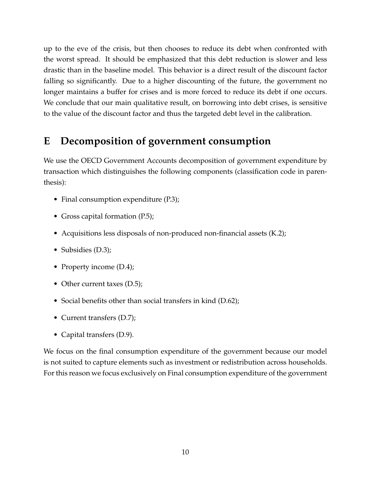up to the eve of the crisis, but then chooses to reduce its debt when confronted with the worst spread. It should be emphasized that this debt reduction is slower and less drastic than in the baseline model. This behavior is a direct result of the discount factor falling so significantly. Due to a higher discounting of the future, the government no longer maintains a buffer for crises and is more forced to reduce its debt if one occurs. We conclude that our main qualitative result, on borrowing into debt crises, is sensitive to the value of the discount factor and thus the targeted debt level in the calibration.

# <span id="page-9-0"></span>**E Decomposition of government consumption**

We use the OECD Government Accounts decomposition of government expenditure by transaction which distinguishes the following components (classification code in parenthesis):

- Final consumption expenditure (P.3);
- Gross capital formation (P.5);
- Acquisitions less disposals of non-produced non-financial assets (K.2);
- Subsidies (D.3);
- Property income (D.4);
- Other current taxes (D.5);
- Social benefits other than social transfers in kind (D.62);
- Current transfers (D.7);
- Capital transfers (D.9).

We focus on the final consumption expenditure of the government because our model is not suited to capture elements such as investment or redistribution across households. For this reason we focus exclusively on Final consumption expenditure of the government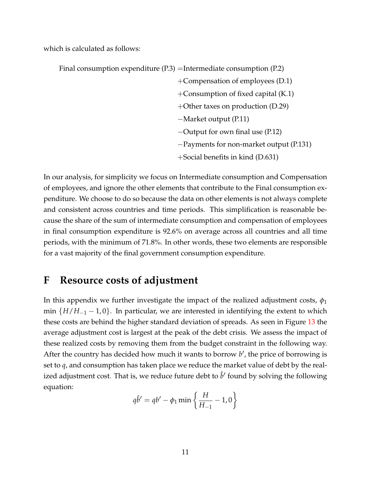which is calculated as follows:

| Final consumption expenditure $(P.3)$ =Intermediate consumption $(P.2)$ |                                         |  |
|-------------------------------------------------------------------------|-----------------------------------------|--|
|                                                                         | +Compensation of employees $(D.1)$      |  |
|                                                                         | +Consumption of fixed capital $(K.1)$   |  |
|                                                                         | +Other taxes on production $(D.29)$     |  |
|                                                                         | $-Market$ output (P.11)                 |  |
|                                                                         | $-$ Output for own final use (P.12)     |  |
|                                                                         | -Payments for non-market output (P.131) |  |
|                                                                         | +Social benefits in kind (D.631)        |  |

In our analysis, for simplicity we focus on Intermediate consumption and Compensation of employees, and ignore the other elements that contribute to the Final consumption expenditure. We choose to do so because the data on other elements is not always complete and consistent across countries and time periods. This simplification is reasonable because the share of the sum of intermediate consumption and compensation of employees in final consumption expenditure is 92.6% on average across all countries and all time periods, with the minimum of 71.8%. In other words, these two elements are responsible for a vast majority of the final government consumption expenditure.

#### <span id="page-10-0"></span>**F Resource costs of adjustment**

In this appendix we further investigate the impact of the realized adjustment costs,  $\phi_1$ min  ${H/H_{-1} - 1, 0}$ . In particular, we are interested in identifying the extent to which these costs are behind the higher standard deviation of spreads. As seen in Figure [13](#page-12-0) the average adjustment cost is largest at the peak of the debt crisis. We assess the impact of these realized costs by removing them from the budget constraint in the following way. After the country has decided how much it wants to borrow b', the price of borrowing is set to *q*, and consumption has taken place we reduce the market value of debt by the realized adjustment cost. That is, we reduce future debt to  $\hat{b}'$  found by solving the following equation:

$$
q\hat{b}' = qb' - \phi_1 \min\left\{\frac{H}{H_{-1}} - 1, 0\right\}
$$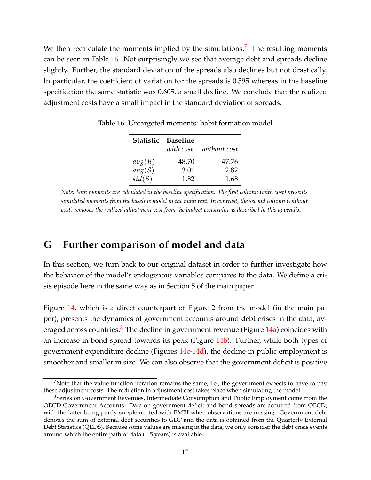We then recalculate the moments implied by the simulations.<sup>[7](#page-11-1)</sup> The resulting moments can be seen in Table [16.](#page-11-2) Not surprisingly we see that average debt and spreads decline slightly. Further, the standard deviation of the spreads also declines but not drastically. In particular, the coefficient of variation for the spreads is 0.595 whereas in the baseline specification the same statistic was 0.605, a small decline. We conclude that the realized adjustment costs have a small impact in the standard deviation of spreads.

|        | Statistic Baseline |              |
|--------|--------------------|--------------|
|        | with cost          | without cost |
| avg(B) | 48.70              | 47.76        |
| avg(S) | 3.01               | 2.82         |
| std(S) | 1.82               | 1.68         |

<span id="page-11-2"></span>Table 16: Untargeted moments: habit formation model

*Note: both moments are calculated in the baseline specification. The first column (with cost) presents simulated moments from the baseline model in the main text. In contrast, the second column (without cost) removes the realized adjustment cost from the budget constraint as described in this appendix.*

#### <span id="page-11-0"></span>**G Further comparison of model and data**

In this section, we turn back to our original dataset in order to further investigate how the behavior of the model's endogenous variables compares to the data. We define a crisis episode here in the same way as in Section 5 of the main paper.

Figure [14,](#page-13-0) which is a direct counterpart of Figure 2 from the model (in the main paper), presents the dynamics of government accounts around debt crises in the data, av-eraged across countries.<sup>[8](#page-11-3)</sup> The decline in government revenue (Figure  $14a$ ) coincides with an increase in bond spread towards its peak (Figure [14b\)](#page-13-2). Further, while both types of government expenditure decline (Figures [14c-](#page-13-3)[14d\)](#page-13-4), the decline in public employment is smoother and smaller in size. We can also observe that the government deficit is positive

<span id="page-11-1"></span><sup>&</sup>lt;sup>7</sup>Note that the value function iteration remains the same, i.e., the government expects to have to pay these adjustment costs. The reduction in adjustment cost takes place when simulating the model.

<span id="page-11-3"></span><sup>&</sup>lt;sup>8</sup>Series on Government Revenues, Intermediate Consumption and Public Employment come from the OECD Government Accounts. Data on government deficit and bond spreads are acquired from OECD, with the latter being partly supplemented with EMBI when observations are missing. Government debt denotes the sum of external debt securities to GDP and the data is obtained from the Quarterly External Debt Statistics (QEDS). Because some values are missing in the data, we only consider the debt crisis events around which the entire path of data  $(\pm 5 \text{ years})$  is available.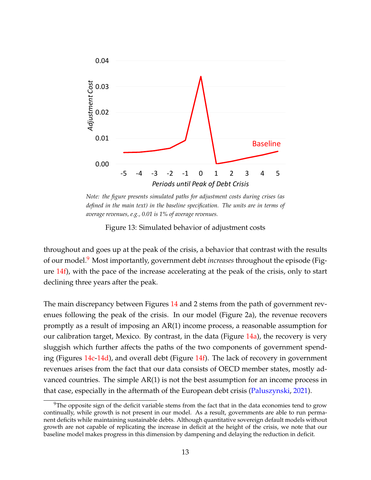<span id="page-12-0"></span>

*Note: the figure presents simulated paths for adjustment costs during crises (as defined in the main text) in the baseline specification. The units are in terms of average revenues, e.g., 0.01 is 1% of average revenues.*

Figure 13: Simulated behavior of adjustment costs

throughout and goes up at the peak of the crisis, a behavior that contrast with the results of our model.[9](#page-12-1) Most importantly, government debt *increases* throughout the episode (Figure [14f\)](#page-13-5), with the pace of the increase accelerating at the peak of the crisis, only to start declining three years after the peak.

The main discrepancy between Figures [14](#page-13-0) and 2 stems from the path of government revenues following the peak of the crisis. In our model (Figure 2a), the revenue recovers promptly as a result of imposing an AR(1) income process, a reasonable assumption for our calibration target, Mexico. By contrast, in the data (Figure  $14a$ ), the recovery is very sluggish which further affects the paths of the two components of government spending (Figures [14c](#page-13-3)[-14d\)](#page-13-4), and overall debt (Figure [14f\)](#page-13-5). The lack of recovery in government revenues arises from the fact that our data consists of OECD member states, mostly advanced countries. The simple AR(1) is not the best assumption for an income process in that case, especially in the aftermath of the European debt crisis [\(Paluszynski,](#page-14-5) [2021\)](#page-14-5).

<span id="page-12-1"></span> $9$ The opposite sign of the deficit variable stems from the fact that in the data economies tend to grow continually, while growth is not present in our model. As a result, governments are able to run permanent deficits while maintaining sustainable debts. Although quantitative sovereign default models without growth are not capable of replicating the increase in deficit at the height of the crisis, we note that our baseline model makes progress in this dimension by dampening and delaying the reduction in deficit.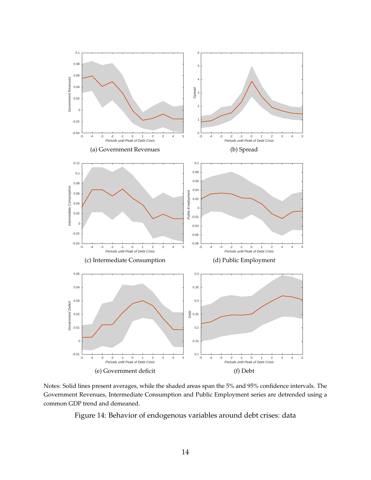<span id="page-13-3"></span><span id="page-13-2"></span><span id="page-13-1"></span><span id="page-13-0"></span>

<span id="page-13-4"></span>Notes: Solid lines present averages, while the shaded areas span the 5% and 95% confidence intervals. The Government Revenues, Intermediate Consumption and Public Employment series are detrended using a common GDP trend and demeaned.

<span id="page-13-5"></span>Figure 14: Behavior of endogenous variables around debt crises: data